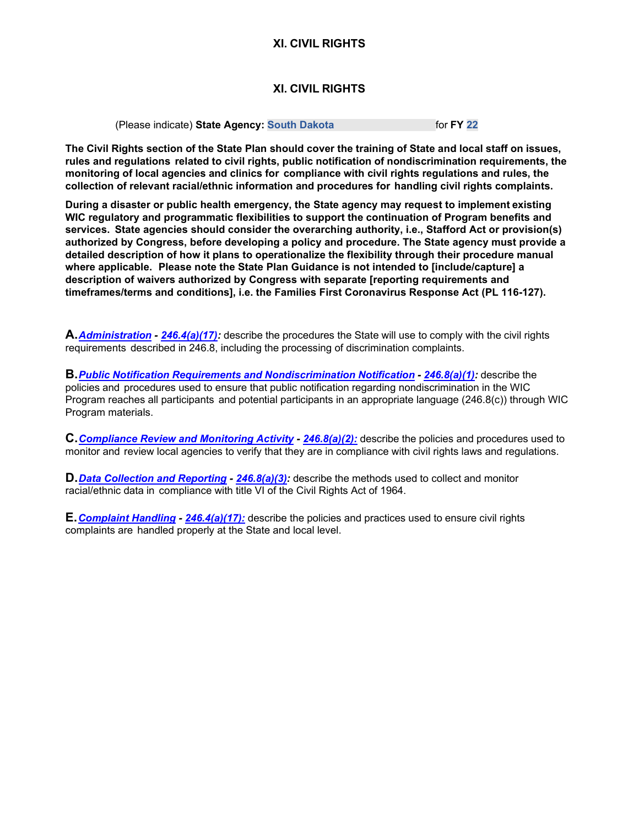### **XI. CIVIL RIGHTS**

(Please indicate) **State Agency: South Dakota** for **FY 22**

**The Civil Rights section of the State Plan should cover the training of State and local staff on issues, rules and regulations related to civil rights, public notification of nondiscrimination requirements, the monitoring of local agencies and clinics for compliance with civil rights regulations and rules, the collection of relevant racial/ethnic information and procedures for handling civil rights complaints.**

**During a disaster or public health emergency, the State agency may request to implement existing WIC regulatory and programmatic flexibilities to support the continuation of Program benefits and services.  State agencies should consider the overarching authority, i.e., Stafford Act or provision(s) authorized by Congress, before developing a policy and procedure. The State agency must provide a detailed description of how it plans to operationalize the flexibility through their procedure manual where applicable.   Please note the State Plan Guidance is not intended to [include/capture] a description of waivers authorized by Congress with separate [reporting requirements and timeframes/terms and conditions], i.e. the Families First Coronavirus Response Act (PL 116-127).**

**A.***[Administration](#page-1-0) - [246.4\(a\)\(17\):](https://ecfr.federalregister.gov/current/title-7/subtitle-B/chapter-II/subchapter-A/part-246#p-246.4(a)(17))* describe the procedures the State will use to comply with the civil rights requirements described in 246.8, including the processing of discrimination complaints.

**B.***Public Notification Requirements and [Nondiscrimination](#page-2-0) Notification - [246.8\(a\)\(1\):](https://ecfr.federalregister.gov/current/title-7/subtitle-B/chapter-II/subchapter-A/part-246#p-246.8(a)(1))* describe the policies and procedures used to ensure that public notification regarding nondiscrimination in the WIC Program reaches all participants and potential participants in an appropriate language (246.8(c)) through WIC Program materials.

**C.***[Compliance](#page-4-0) Review and Monitoring Activity - [246.8\(a\)\(2\):](https://ecfr.federalregister.gov/current/title-7/subtitle-B/chapter-II/subchapter-A/part-246#p-246.8(a)(2))* describe the policies and procedures used to monitor and review local agencies to verify that they are in compliance with civil rights laws and regulations.

**D.***Data Collection [and Reporting](#page-6-0) - [246.8\(a\)\(3\):](https://ecfr.federalregister.gov/current/title-7/subtitle-B/chapter-II/subchapter-A/part-246#p-246.8(a)(3))* describe the methods used to collect and monitor racial/ethnic data in compliance with title VI of the Civil Rights Act of 1964.

**E.***[Complaint](#page-7-0) Handling - [246.4\(a\)\(17\):](https://ecfr.federalregister.gov/current/title-7/subtitle-B/chapter-II/subchapter-A/part-246#p-246.4(a)(17))* describe the policies and practices used to ensure civil rights complaints are handled properly at the State and local level.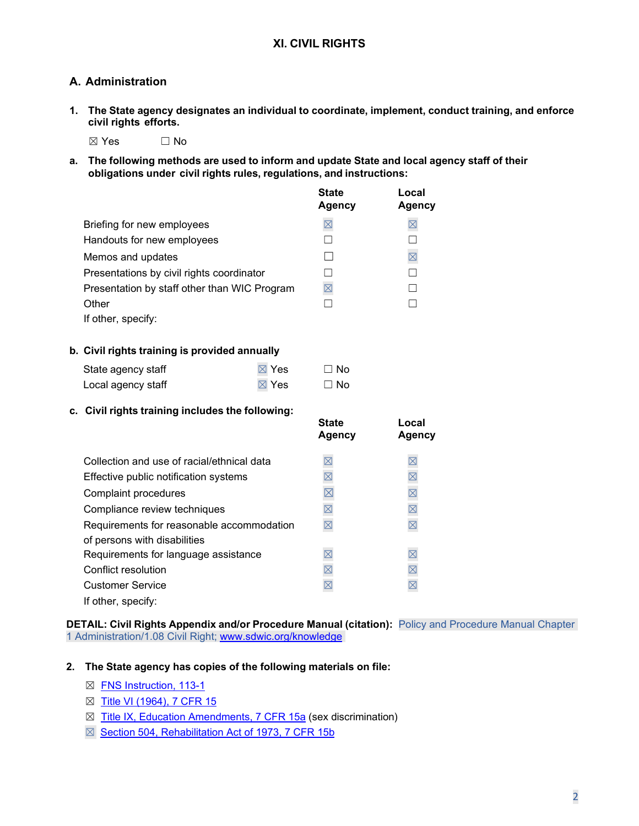# <span id="page-1-0"></span>**A. Administration**

- **1. The State agency designates an individual to coordinate, implement, conduct training, and enforce civil rights efforts.**
	- $\boxtimes$  Yes  $\Box$  No
- **a. The following methods are used to inform and update State and local agency staff of their obligations under civil rights rules, regulations, and instructions:**

|                                                  | <b>State</b><br><b>Agency</b>         | Local<br><b>Agency</b>     |  |  |
|--------------------------------------------------|---------------------------------------|----------------------------|--|--|
| Briefing for new employees                       | $\boxtimes$                           | $\boxtimes$                |  |  |
| Handouts for new employees                       |                                       |                            |  |  |
| Memos and updates                                |                                       | $\boxtimes$                |  |  |
| Presentations by civil rights coordinator        | П                                     | П                          |  |  |
| Presentation by staff other than WIC Program     | $\boxtimes$                           |                            |  |  |
| Other                                            | $\Box$                                |                            |  |  |
| If other, specify:                               |                                       |                            |  |  |
| b. Civil rights training is provided annually    |                                       |                            |  |  |
| $\boxtimes$ Yes<br>State agency staff            | $\Box$ No                             |                            |  |  |
| $\boxtimes$ Yes<br>Local agency staff            | $\Box$ No                             |                            |  |  |
| c. Civil rights training includes the following: |                                       |                            |  |  |
|                                                  |                                       |                            |  |  |
|                                                  | <b>State</b><br><b>Agency</b>         | Local<br><b>Agency</b>     |  |  |
| Collection and use of racial/ethnical data       | $\boxtimes$                           | $\boxtimes$                |  |  |
| Effective public notification systems            | $\boxtimes$                           | $\boxtimes$                |  |  |
| Complaint procedures                             | $\boxtimes$                           |                            |  |  |
| Compliance review techniques                     |                                       | $\boxed{\boxtimes}$        |  |  |
| Requirements for reasonable accommodation        | $\boxtimes$<br>$\overline{\boxtimes}$ | $\boxtimes$<br>$\boxtimes$ |  |  |
| of persons with disabilities                     |                                       |                            |  |  |
| Requirements for language assistance             | $\boxtimes$                           | $\boxtimes$                |  |  |
| Conflict resolution                              | $\boxtimes$                           | $\boxtimes$                |  |  |
| <b>Customer Service</b>                          | $\boxtimes$                           | $\boxtimes$                |  |  |

**DETAIL: Civil Rights Appendix and/or Procedure Manual (citation):** Policy and Procedure Manual Chapter 1 Administration/1.08 Civil Right; [www.sdwic.org/knowledge](http://www.sdwic.org/knowledge)

- **2. The State agency has copies of the following materials on file:**
	- ☒ FNS [Instruction,](https://fns-prod.azureedge.net/sites/default/files/113-1.pdf) 113-1
	- ☒ Title [VI \(1964\),](https://www.govinfo.gov/content/pkg/CFR-2010-title7-vol1/pdf/CFR-2010-title7-vol1-part15.pdf) 7 CFR 15
	- ⊠ Title IX, Education [Amendments,](https://www.govinfo.gov/content/pkg/CFR-2006-title7-vol1/pdf/CFR-2006-title7-vol1.pdf) 7 CFR 15a (sex discrimination)
	- ☒ Section 504, [Rehabilitation Act](https://www.govinfo.gov/content/pkg/CFR-2010-title7-vol1/pdf/CFR-2010-title7-vol1-part15b.pdf) of 1973, 7 CFR 15b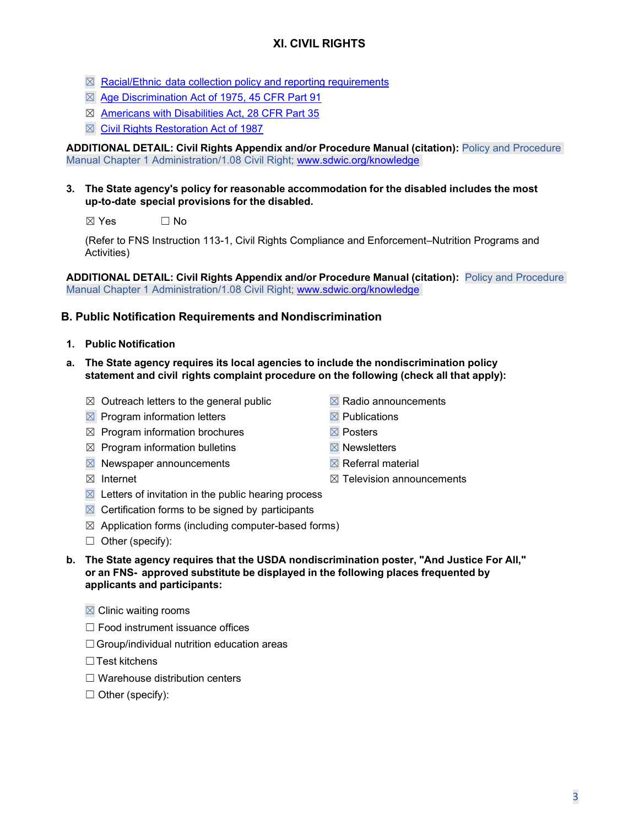- $\boxtimes$  Racial/Ethnic data collection policy and reporting [requirements](https://fns-prod.azureedge.net/sites/default/files/113-1.pdf)
- ⊠ Age Discrimination [Act of 1975, 45 CFR Part 91](https://ecfr.io/Title-45/cfr91_main)
- ☒ Americans [with Disabilities](https://www.ecfr.gov/cgi-bin/text-idx?node=28:1.0.1.1.36) Act, 28 CFR Part 35
- ☒ [Civil Rights Restoration Act](http://uscode.house.gov/statutes/pl/100/259.pdf) of 1987

**ADDITIONAL DETAIL: Civil Rights Appendix and/or Procedure Manual (citation):** Policy and Procedure Manual Chapter 1 Administration/1.08 Civil Right; [www.sdwic.org/knowledge](http://www.sdwic.org/knowledge)

- **3. The State agency's policy for reasonable accommodation for the disabled includes the most up-to-date special provisions for the disabled.**
	- $\boxtimes$  Yes  $\Box$  No

(Refer to FNS Instruction 113-1, Civil Rights Compliance and Enforcement–Nutrition Programs and Activities)

**ADDITIONAL DETAIL: Civil Rights Appendix and/or Procedure Manual (citation):** Policy and Procedure Manual Chapter 1 Administration/1.08 Civil Right; [www.sdwic.org/knowledge](http://www.sdwic.org/knowledge)

# <span id="page-2-0"></span>**B. Public Notification Requirements and Nondiscrimination**

- **1. Public Notification**
- **a. The State agency requires its local agencies to include the nondiscrimination policy statement and civil rights complaint procedure on the following (check all that apply):**
	- $\boxtimes$  Outreach letters to the general public  $\boxtimes$  Radio announcements
	- $\boxtimes$  Program information letters  $\boxtimes$  Publications
	- $\boxtimes$  Program information brochures  $\boxtimes$  Posters
	- $\boxtimes$  Program information bulletins  $\boxtimes$  Newsletters
	- $\boxtimes$  Newspaper announcements  $\boxtimes$  Referral material
	-
	- $\boxtimes$  Letters of invitation in the public hearing process
	- $\boxtimes$  Certification forms to be signed by participants
	- $\boxtimes$  Application forms (including computer-based forms)
	- $\Box$  Other (specify):
- **b. The State agency requires that the USDA nondiscrimination poster, "And Justice For All," or an FNS- approved substitute be displayed in the following places frequented by applicants and participants:**
	- $\boxtimes$  Clinic waiting rooms
	- ☐ Food instrument issuance offices
	- ☐Group/individual nutrition education areas
	- ☐Test kitchens
	- ☐ Warehouse distribution centers
	- $\Box$  Other (specify):
- 
- 
- 
- 
- 
- $\boxtimes$  Internet  $\boxtimes$  Television announcements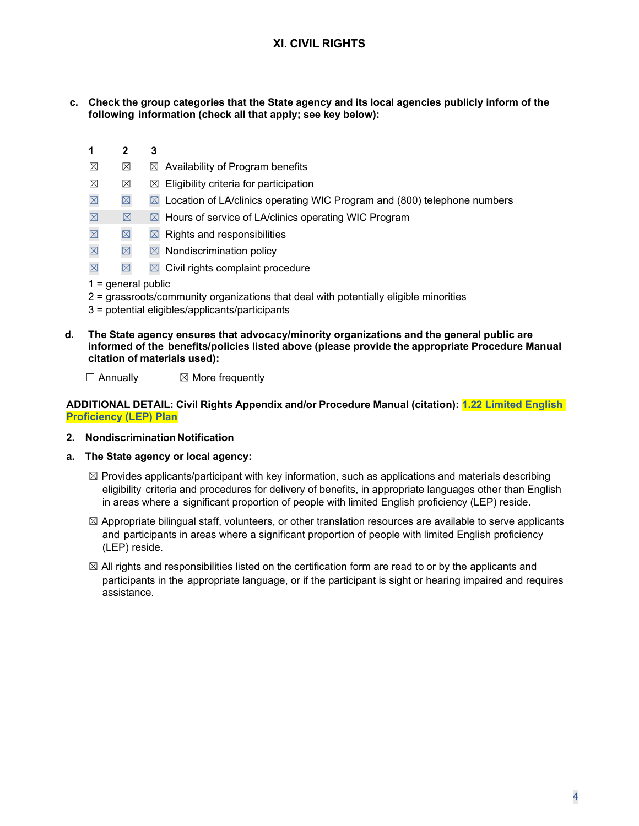- **c. Check the group categories that the State agency and its local agencies publicly inform of the following information (check all that apply; see key below):**
	- **1 2 3**
	- $\boxtimes$   $\boxtimes$   $\boxtimes$  Availability of Program benefits
	- $\boxtimes$   $\boxtimes$   $\boxtimes$  Eligibility criteria for participation
	- $\boxtimes$   $\boxtimes$  Location of LA/clinics operating WIC Program and (800) telephone numbers
	- $\boxtimes$   $\boxtimes$  Hours of service of LA/clinics operating WIC Program
	- $\boxtimes$   $\boxtimes$   $\boxtimes$  Rights and responsibilities
	- $\boxtimes$   $\boxtimes$  Nondiscrimination policy
	- $\boxtimes$   $\boxtimes$   $\boxtimes$  Civil rights complaint procedure
	- $1$  = general public
	- 2 = grassroots/community organizations that deal with potentially eligible minorities
	- 3 = potential eligibles/applicants/participants
- **d. The State agency ensures that advocacy/minority organizations and the general public are informed of the benefits/policies listed above (please provide the appropriate Procedure Manual citation of materials used):**

 $\Box$  Annually  $\boxtimes$  More frequently

**ADDITIONAL DETAIL: Civil Rights Appendix and/or Procedure Manual (citation): 1.22 Limited English Proficiency (LEP) Plan**

### **2.** Nondiscrimination Notification

- **a. The State agency or local agency:**
	- $\boxtimes$  Provides applicants/participant with key information, such as applications and materials describing eligibility criteria and procedures for delivery of benefits, in appropriate languages other than English in areas where a significant proportion of people with limited English proficiency (LEP) reside.
	- $\boxtimes$  Appropriate bilingual staff, volunteers, or other translation resources are available to serve applicants and participants in areas where a significant proportion of people with limited English proficiency (LEP) reside.
	- $\boxtimes$  All rights and responsibilities listed on the certification form are read to or by the applicants and participants in the appropriate language, or if the participant is sight or hearing impaired and requires assistance.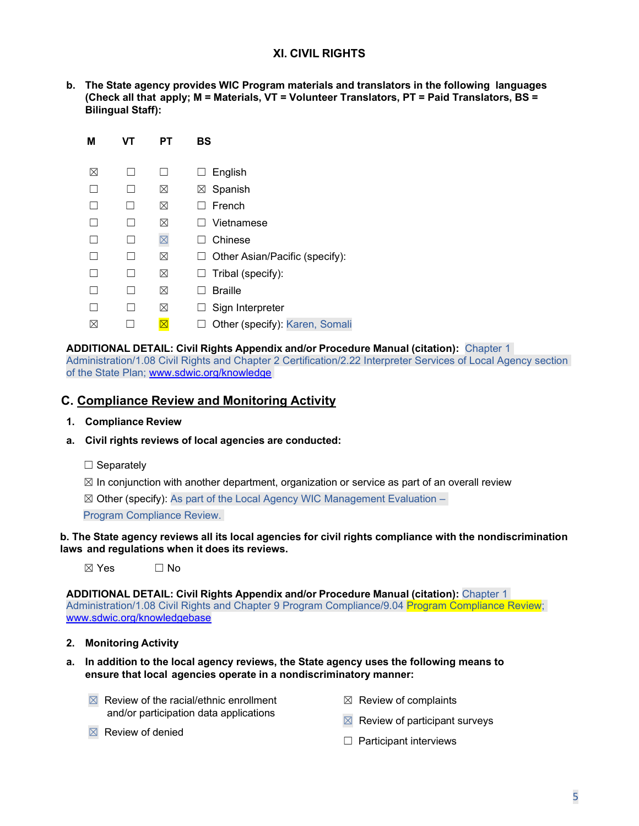**b. The State agency provides WIC Program materials and translators in the following languages (Check all that apply; M = Materials, VT = Volunteer Translators, PT = Paid Translators, BS = Bilingual Staff):**

| М        | VТ | PТ          | <b>BS</b>                             |
|----------|----|-------------|---------------------------------------|
|          |    |             |                                       |
| ⋈        |    |             | English                               |
|          |    | ⊠           | Spanish<br>$\boxtimes$                |
|          |    | ⊠           | French                                |
|          |    | ⊠           | Vietnamese                            |
|          |    | $\boxtimes$ | Chinese                               |
|          |    | $\boxtimes$ | $\Box$ Other Asian/Pacific (specify): |
|          |    | ⊠           | Tribal (specify):                     |
|          |    | ⊠           | <b>Braille</b>                        |
|          |    | ⊠           | Sign Interpreter                      |
| $\times$ |    | X           | Other (specify): Karen, Somali        |

### **ADDITIONAL DETAIL: Civil Rights Appendix and/or Procedure Manual (citation):** Chapter 1

Administration/1.08 Civil Rights and Chapter 2 Certification/2.22 Interpreter Services of Local Agency section of the State Plan; [www.sdwic.org/knowledge](http://www.sdwic.org/knowledge)

# <span id="page-4-0"></span>**C. Compliance Review and Monitoring Activity**

- **1. Compliance Review**
- **a. Civil rights reviews of local agencies are conducted:**
	- $\Box$  Separately
	- $\boxtimes$  In conjunction with another department, organization or service as part of an overall review

☒ Other (specify): As part of the Local Agency WIC Management Evaluation –

Program Compliance Review.

### **b. The State agency reviews all its local agencies for civil rights compliance with the nondiscrimination laws and regulations when it does its reviews.**

 $\boxtimes$  Yes  $\Box$  No

**ADDITIONAL DETAIL: Civil Rights Appendix and/or Procedure Manual (citation):** Chapter 1

Administration/1.08 Civil Rights and Chapter 9 Program Compliance/9.04 Program Compliance Review; [www.sdwic.org/knowledgebase](http://www.sdwic.org/knowledgebase)

### **2. Monitoring Activity**

- **a. In addition to the local agency reviews, the State agency uses the following means to ensure that local agencies operate in a nondiscriminatory manner:**
	- $\boxtimes$  Review of the racial/ethnic enrollment and/or participation data applications
- $\boxtimes$  Review of complaints
- $\boxtimes$  Review of participant surveys
- $\Box$  Participant interviews

 $\boxtimes$  Review of denied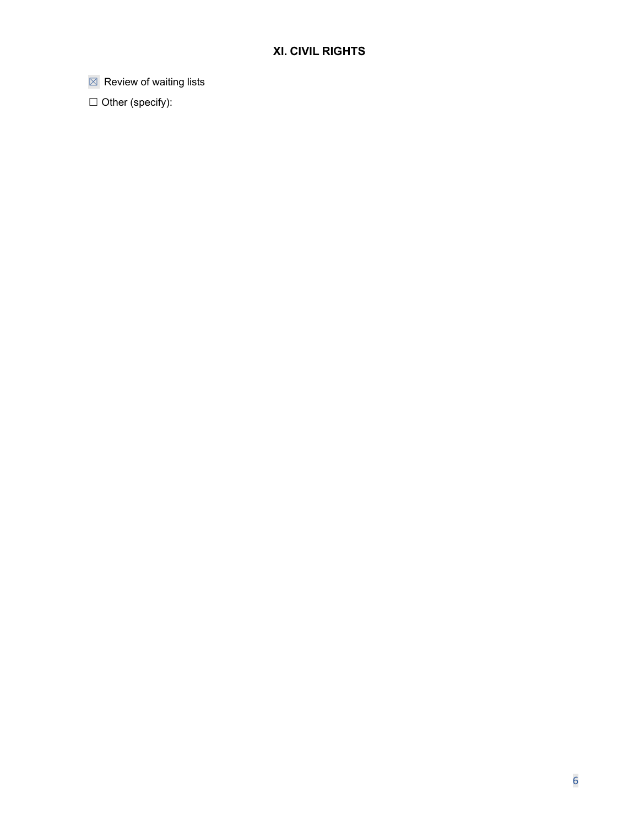$\boxtimes$  Review of waiting lists

☐ Other (specify):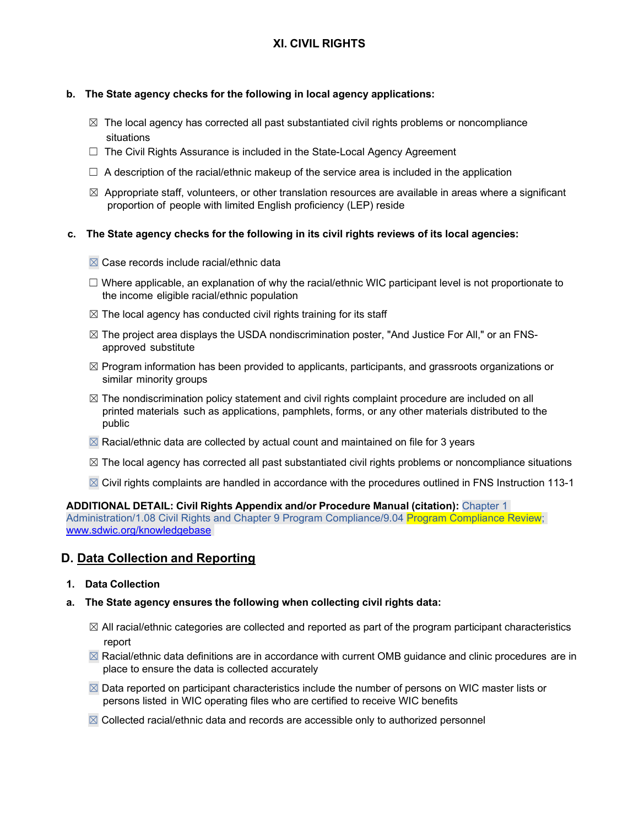### **b. The State agency checks for the following in local agency applications:**

- $\boxtimes$  The local agency has corrected all past substantiated civil rights problems or noncompliance situations
- $\Box$  The Civil Rights Assurance is included in the State-Local Agency Agreement
- $\Box$  A description of the racial/ethnic makeup of the service area is included in the application
- $\boxtimes$  Appropriate staff, volunteers, or other translation resources are available in areas where a significant proportion of people with limited English proficiency (LEP) reside

#### **c. The State agency checks for the following in its civil rights reviews of its local agencies:**

- $\boxtimes$  Case records include racial/ethnic data
- $\Box$  Where applicable, an explanation of why the racial/ethnic WIC participant level is not proportionate to the income eligible racial/ethnic population
- $\boxtimes$  The local agency has conducted civil rights training for its staff
- $\boxtimes$  The project area displays the USDA nondiscrimination poster, "And Justice For All," or an FNSapproved substitute
- $\boxtimes$  Program information has been provided to applicants, participants, and grassroots organizations or similar minority groups
- $\boxtimes$  The nondiscrimination policy statement and civil rights complaint procedure are included on all printed materials such as applications, pamphlets, forms, or any other materials distributed to the public
- $\boxtimes$  Racial/ethnic data are collected by actual count and maintained on file for 3 years
- $\boxtimes$  The local agency has corrected all past substantiated civil rights problems or noncompliance situations
- $\boxtimes$  Civil rights complaints are handled in accordance with the procedures outlined in FNS Instruction 113-1

#### **ADDITIONAL DETAIL: Civil Rights Appendix and/or Procedure Manual (citation):** Chapter 1

Administration/1.08 Civil Rights and Chapter 9 Program Compliance/9.04 Program Compliance Review; [www.sdwic.org/knowledgebase](http://www.sdwic.org/knowledgebase)

# <span id="page-6-0"></span>**D. Data Collection and Reporting**

#### **1. Data Collection**

#### **a. The State agency ensures the following when collecting civil rights data:**

- $\boxtimes$  All racial/ethnic categories are collected and reported as part of the program participant characteristics report
- $\boxtimes$  Racial/ethnic data definitions are in accordance with current OMB guidance and clinic procedures are in place to ensure the data is collected accurately
- $\boxtimes$  Data reported on participant characteristics include the number of persons on WIC master lists or persons listed in WIC operating files who are certified to receive WIC benefits
- $\boxtimes$  Collected racial/ethnic data and records are accessible only to authorized personnel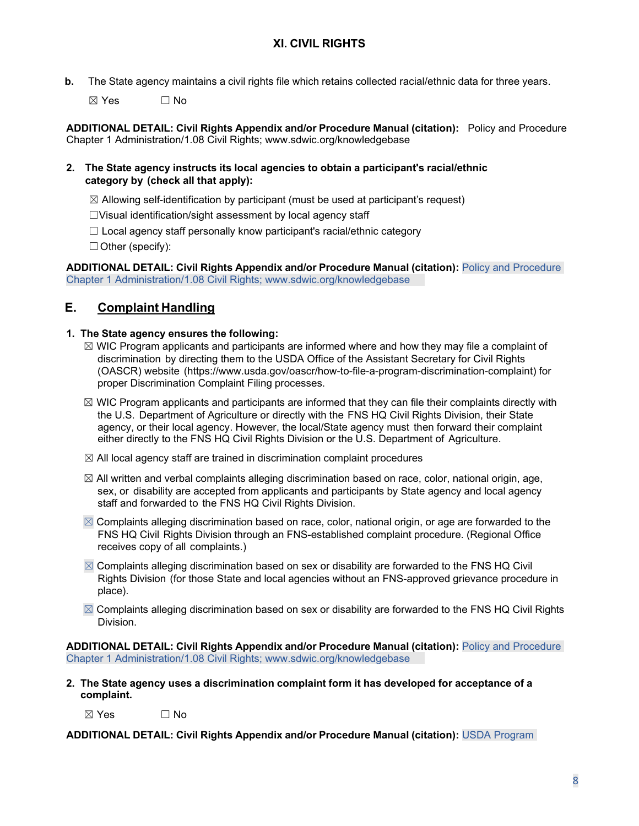- **b.** The State agency maintains a civil rights file which retains collected racial/ethnic data for three years.
	- $\boxtimes$  Yes  $\Box$  No

**ADDITIONAL DETAIL: Civil Rights Appendix and/or Procedure Manual (citation):** Policy and Procedure Chapter 1 Administration/1.08 Civil Rights; www.sdwic.org/knowledgebase

- **2. The State agency instructs its local agencies to obtain a participant's racial/ethnic category by (check all that apply):**
	- $\boxtimes$  Allowing self-identification by participant (must be used at participant's request)
	- ☐Visual identification/sight assessment by local agency staff
	- ☐ Local agency staff personally know participant's racial/ethnic category

☐Other (specify):

**ADDITIONAL DETAIL: Civil Rights Appendix and/or Procedure Manual (citation):** Policy and Procedure Chapter 1 Administration/1.08 Civil Rights; www.sdwic.org/knowledgebase

### <span id="page-7-0"></span>**E. Complaint Handling**

#### **1. The State agency ensures the following:**

- $\boxtimes$  WIC Program applicants and participants are informed where and how they may file a complaint of discrimination by directing them to the USDA Office of the Assistant Secretary for Civil Rights (OASCR) website [\(https://www.usda.gov/oascr/how-to-file-a-program-discrimination-complaint\)](https://www.usda.gov/oascr/how-to-file-a-program-discrimination-complaint) for proper Discrimination Complaint Filing processes.
- $\boxtimes$  WIC Program applicants and participants are informed that they can file their complaints directly with the U.S. Department of Agriculture or directly with the FNS HQ Civil Rights Division, their State agency, or their local agency. However, the local/State agency must then forward their complaint either directly to the FNS HQ Civil Rights Division or the U.S. Department of Agriculture.
- $\boxtimes$  All local agency staff are trained in discrimination complaint procedures
- $\boxtimes$  All written and verbal complaints alleging discrimination based on race, color, national origin, age, sex, or disability are accepted from applicants and participants by State agency and local agency staff and forwarded to the FNS HQ Civil Rights Division.
- ☒ Complaints alleging discrimination based on race, color, national origin, or age are forwarded to the FNS HQ Civil Rights Division through an FNS-established complaint procedure. (Regional Office receives copy of all complaints.)
- $\boxtimes$  Complaints alleging discrimination based on sex or disability are forwarded to the FNS HQ Civil Rights Division (for those State and local agencies without an FNS-approved grievance procedure in place).
- $\boxtimes$  Complaints alleging discrimination based on sex or disability are forwarded to the FNS HQ Civil Rights Division.

**ADDITIONAL DETAIL: Civil Rights Appendix and/or Procedure Manual (citation):** Policy and Procedure Chapter 1 Administration/1.08 Civil Rights; www.sdwic.org/knowledgebase

**2. The State agency uses a discrimination complaint form it has developed for acceptance of a complaint.**

 $\boxtimes$  Yes  $\Box$  No

**ADDITIONAL DETAIL: Civil Rights Appendix and/or Procedure Manual (citation):** USDA Program